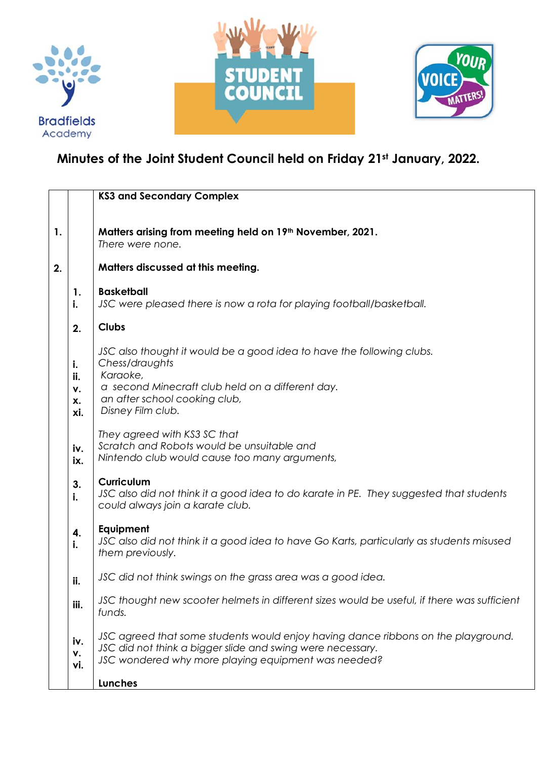





## **Minutes of the Joint Student Council held on Friday 21st January, 2022.**

|    |                  | <b>KS3 and Secondary Complex</b>                                                                                                                                                                       |
|----|------------------|--------------------------------------------------------------------------------------------------------------------------------------------------------------------------------------------------------|
|    |                  |                                                                                                                                                                                                        |
| 1. |                  | Matters arising from meeting held on 19th November, 2021.<br>There were none.                                                                                                                          |
| 2. |                  | Matters discussed at this meeting.                                                                                                                                                                     |
|    | 1.<br>i.         | <b>Basketball</b><br>JSC were pleased there is now a rota for playing football/basketball.                                                                                                             |
|    | 2.               | <b>Clubs</b>                                                                                                                                                                                           |
|    | i.<br>ii.<br>۷.  | JSC also thought it would be a good idea to have the following clubs.<br>Chess/draughts<br>Karaoke,<br>a second Minecraft club held on a different day.                                                |
|    | X.<br>xi.        | an after school cooking club,<br>Disney Film club.                                                                                                                                                     |
|    | iv.<br>ix.       | They agreed with KS3 SC that<br>Scratch and Robots would be unsuitable and<br>Nintendo club would cause too many arguments,                                                                            |
|    | 3.<br>i.         | <b>Curriculum</b><br>JSC also did not think it a good idea to do karate in PE. They suggested that students<br>could always join a karate club.                                                        |
|    | 4.<br>i.         | <b>Equipment</b><br>JSC also did not think it a good idea to have Go Karts, particularly as students misused<br>them previously.                                                                       |
|    | ii.              | JSC did not think swings on the grass area was a good idea.                                                                                                                                            |
|    | iii.             | JSC thought new scooter helmets in different sizes would be useful, if there was sufficient<br>funds.                                                                                                  |
|    | iv.<br>٧.<br>vi. | JSC agreed that some students would enjoy having dance ribbons on the playground.<br>JSC did not think a bigger slide and swing were necessary.<br>JSC wondered why more playing equipment was needed? |
|    |                  | <b>Lunches</b>                                                                                                                                                                                         |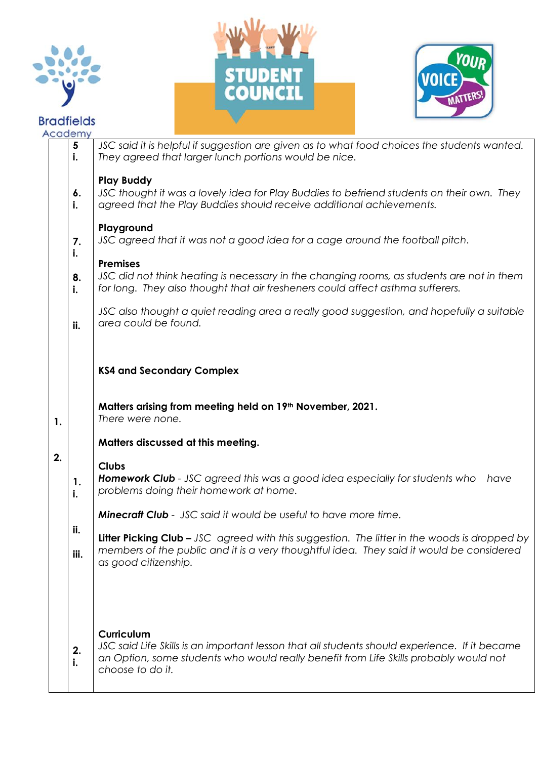







|    | Academy                       |                                                                                                                                                                                                                          |
|----|-------------------------------|--------------------------------------------------------------------------------------------------------------------------------------------------------------------------------------------------------------------------|
|    | $\overline{\mathbf{5}}$<br>i. | JSC said it is helpful if suggestion are given as to what food choices the students wanted.<br>They agreed that larger lunch portions would be nice.                                                                     |
|    | 6.<br>i.                      | <b>Play Buddy</b><br>JSC thought it was a lovely idea for Play Buddies to befriend students on their own. They<br>agreed that the Play Buddies should receive additional achievements.<br>Playground                     |
|    | 7.<br>i.                      | JSC agreed that it was not a good idea for a cage around the football pitch.                                                                                                                                             |
|    | 8.<br>i.                      | <b>Premises</b><br>JSC did not think heating is necessary in the changing rooms, as students are not in them<br>for long. They also thought that air fresheners could affect asthma sufferers.                           |
|    | ii.                           | JSC also thought a quiet reading area a really good suggestion, and hopefully a suitable<br>area could be found.                                                                                                         |
|    |                               | <b>KS4 and Secondary Complex</b>                                                                                                                                                                                         |
| 1. |                               | Matters arising from meeting held on 19 <sup>th</sup> November, 2021.<br>There were none.                                                                                                                                |
|    |                               | Matters discussed at this meeting.                                                                                                                                                                                       |
| 2. | 1.<br>i.                      | <b>Clubs</b><br><b>Homework Club</b> - JSC agreed this was a good idea especially for students who<br>have<br>problems doing their homework at home.                                                                     |
|    |                               | <b>Minecraft Club</b> - JSC said it would be useful to have more time.                                                                                                                                                   |
|    | ii.<br>iii.                   | Litter Picking Club - JSC agreed with this suggestion. The litter in the woods is dropped by<br>members of the public and it is a very thoughtful idea. They said it would be considered<br>as good citizenship.         |
|    | 2.<br>i.                      | Curriculum<br>JSC said Life Skills is an important lesson that all students should experience. If it became<br>an Option, some students who would really benefit from Life Skills probably would not<br>choose to do it. |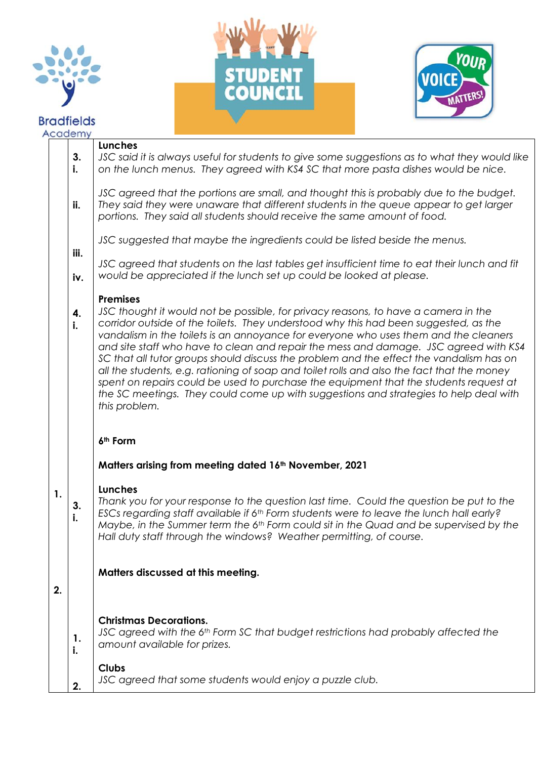

## **Bradfields**  $\overline{A}$





|    | caaemy      |                                                                                                                                                                                                                                                                                                                                                                                                                                                                                                                                                                                                                                                                                                                                                                           |
|----|-------------|---------------------------------------------------------------------------------------------------------------------------------------------------------------------------------------------------------------------------------------------------------------------------------------------------------------------------------------------------------------------------------------------------------------------------------------------------------------------------------------------------------------------------------------------------------------------------------------------------------------------------------------------------------------------------------------------------------------------------------------------------------------------------|
|    | 3.<br>i.    | Lunches<br>JSC said it is always useful for students to give some suggestions as to what they would like<br>on the lunch menus. They agreed with KS4 SC that more pasta dishes would be nice.                                                                                                                                                                                                                                                                                                                                                                                                                                                                                                                                                                             |
|    | ii.         | JSC agreed that the portions are small, and thought this is probably due to the budget.<br>They said they were unaware that different students in the queue appear to get larger<br>portions. They said all students should receive the same amount of food.                                                                                                                                                                                                                                                                                                                                                                                                                                                                                                              |
|    |             | JSC suggested that maybe the ingredients could be listed beside the menus.                                                                                                                                                                                                                                                                                                                                                                                                                                                                                                                                                                                                                                                                                                |
|    | iii.<br>iv. | JSC agreed that students on the last tables get insufficient time to eat their lunch and fit<br>would be appreciated if the lunch set up could be looked at please.                                                                                                                                                                                                                                                                                                                                                                                                                                                                                                                                                                                                       |
|    | 4.<br>i.    | <b>Premises</b><br>JSC thought it would not be possible, for privacy reasons, to have a camera in the<br>corridor outside of the toilets. They understood why this had been suggested, as the<br>vandalism in the toilets is an annoyance for everyone who uses them and the cleaners<br>and site staff who have to clean and repair the mess and damage. JSC agreed with KS4<br>SC that all tutor groups should discuss the problem and the effect the vandalism has on<br>all the students, e.g. rationing of soap and toilet rolls and also the fact that the money<br>spent on repairs could be used to purchase the equipment that the students request at<br>the SC meetings. They could come up with suggestions and strategies to help deal with<br>this problem. |
|    |             | 6 <sup>th</sup> Form                                                                                                                                                                                                                                                                                                                                                                                                                                                                                                                                                                                                                                                                                                                                                      |
|    |             | Matters arising from meeting dated 16 <sup>th</sup> November, 2021                                                                                                                                                                                                                                                                                                                                                                                                                                                                                                                                                                                                                                                                                                        |
| 1. | 3.<br>i.    | Lunches<br>Thank you for your response to the question last time. Could the question be put to the<br>ESCs regarding staff available if 6 <sup>th</sup> Form students were to leave the lunch hall early?<br>Maybe, in the Summer term the 6 <sup>th</sup> Form could sit in the Quad and be supervised by the<br>Hall duty staff through the windows? Weather permitting, of course.                                                                                                                                                                                                                                                                                                                                                                                     |
| 2. |             | Matters discussed at this meeting.                                                                                                                                                                                                                                                                                                                                                                                                                                                                                                                                                                                                                                                                                                                                        |
|    | 1.<br>i.    | <b>Christmas Decorations.</b><br>JSC agreed with the 6th Form SC that budget restrictions had probably affected the<br>amount available for prizes.                                                                                                                                                                                                                                                                                                                                                                                                                                                                                                                                                                                                                       |
|    |             | <b>Clubs</b><br>JSC agreed that some students would enjoy a puzzle club.                                                                                                                                                                                                                                                                                                                                                                                                                                                                                                                                                                                                                                                                                                  |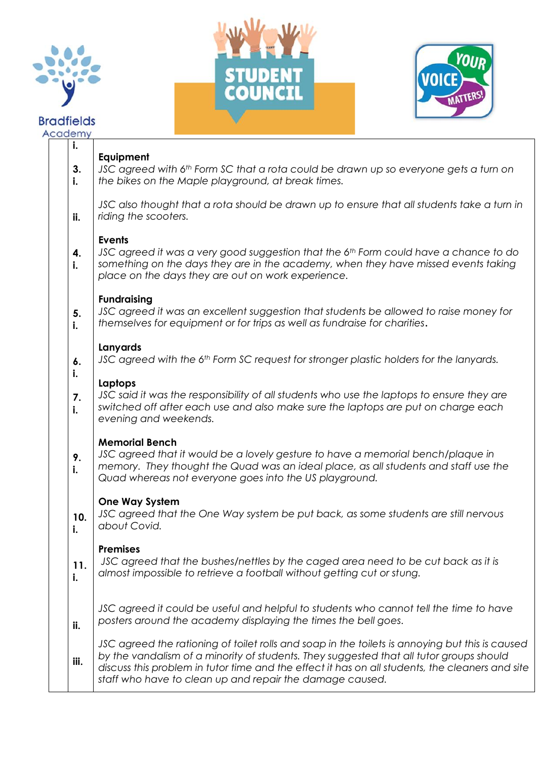

## **Bradfields** Academy





| i.<br>3.<br>i. | Equipment<br>JSC agreed with 6th Form SC that a rota could be drawn up so everyone gets a turn on<br>the bikes on the Maple playground, at break times.                                                                                                                                                                                                   |
|----------------|-----------------------------------------------------------------------------------------------------------------------------------------------------------------------------------------------------------------------------------------------------------------------------------------------------------------------------------------------------------|
| ii.            | JSC also thought that a rota should be drawn up to ensure that all students take a turn in<br>riding the scooters.                                                                                                                                                                                                                                        |
| 4.<br>j.       | <b>Events</b><br>JSC agreed it was a very good suggestion that the 6th Form could have a chance to do<br>something on the days they are in the academy, when they have missed events taking<br>place on the days they are out on work experience.                                                                                                         |
| 5.<br>i.       | <b>Fundraising</b><br>JSC agreed it was an excellent suggestion that students be allowed to raise money for<br>themselves for equipment or for trips as well as fundraise for charities.                                                                                                                                                                  |
| 6.             | Lanyards<br>JSC agreed with the 6 <sup>th</sup> Form SC request for stronger plastic holders for the lanyards.                                                                                                                                                                                                                                            |
| i.<br>7.<br>i. | Laptops<br>JSC said it was the responsibility of all students who use the laptops to ensure they are<br>switched off after each use and also make sure the laptops are put on charge each<br>evening and weekends.                                                                                                                                        |
| 9.<br>i.       | <b>Memorial Bench</b><br>JSC agreed that it would be a lovely gesture to have a memorial bench/plaque in<br>memory. They thought the Quad was an ideal place, as all students and staff use the<br>Quad whereas not everyone goes into the US playground.                                                                                                 |
| 10.<br>i.      | <b>One Way System</b><br>JSC agreed that the One Way system be put back, as some students are still nervous<br>about Covid.                                                                                                                                                                                                                               |
| 11.<br>i.      | <b>Premises</b><br>JSC agreed that the bushes/nettles by the caged area need to be cut back as it is<br>almost impossible to retrieve a football without getting cut or stung.                                                                                                                                                                            |
| ii.            | JSC agreed it could be useful and helpful to students who cannot tell the time to have<br>posters around the academy displaying the times the bell goes.                                                                                                                                                                                                  |
| iii.           | JSC agreed the rationing of toilet rolls and soap in the toilets is annoying but this is caused<br>by the vandalism of a minority of students. They suggested that all tutor groups should<br>discuss this problem in tutor time and the effect it has on all students, the cleaners and site<br>staff who have to clean up and repair the damage caused. |